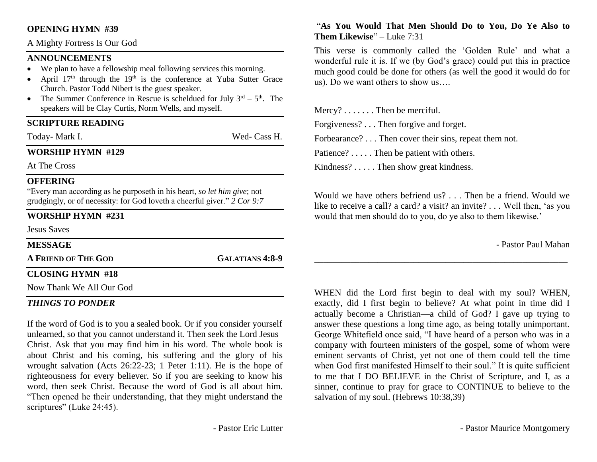#### **OPENING HYMN #39**

A Mighty Fortress Is Our God

#### **ANNOUNCEMENTS**

- We plan to have a fellowship meal following services this morning.
- April  $17<sup>th</sup>$  through the  $19<sup>th</sup>$  is the conference at Yuba Sutter Grace Church. Pastor Todd Nibert is the guest speaker.
- The Summer Conference in Rescue is scheldued for July  $3^{rd} 5^{th}$ . The speakers will be Clay Curtis, Norm Wells, and myself.

#### **SCRIPTURE READING**

Today- Mark I. Wed- Cass H.

#### **WORSHIP HYMN #129**

At The Cross

#### **OFFERING**

"Every man according as he purposeth in his heart, *so let him give*; not grudgingly, or of necessity: for God loveth a cheerful giver." *2 Cor 9:7*

#### **WORSHIP HYMN #231**

Jesus Saves **MESSAGE**

**A FRIEND OF THE GOD GALATIANS 4:8-9**

### **CLOSING HYMN #18**

Now Thank We All Our God

#### *THINGS TO PONDER*

If the word of God is to you a sealed book. Or if you consider yourself unlearned, so that you cannot understand it. Then seek the Lord Jesus Christ. Ask that you may find him in his word. The whole book is about Christ and his coming, his suffering and the glory of his wrought salvation (Acts 26:22-23; 1 Peter 1:11). He is the hope of righteousness for every believer. So if you are seeking to know his word, then seek Christ. Because the word of God is all about him. "Then opened he their understanding, that they might understand the scriptures" (Luke 24:45).

#### "**As You Would That Men Should Do to You, Do Ye Also to Them Likewise**" – Luke 7:31

This verse is commonly called the 'Golden Rule' and what a wonderful rule it is. If we (by God's grace) could put this in practice much good could be done for others (as well the good it would do for us). Do we want others to show us….

Mercy? . . . . . . . Then be merciful. Forgiveness? . . . Then forgive and forget. Forbearance? . . . Then cover their sins, repeat them not. Patience? . . . . . Then be patient with others. Kindness? . . . . . Then show great kindness.

Would we have others befriend us? . . . Then be a friend. Would we like to receive a call? a card? a visit? an invite? . . . Well then, 'as you would that men should do to you, do ye also to them likewise.'

\_\_\_\_\_\_\_\_\_\_\_\_\_\_\_\_\_\_\_\_\_\_\_\_\_\_\_\_\_\_\_\_\_\_\_\_\_\_\_\_\_\_\_\_\_\_\_\_\_\_\_\_\_\_\_\_

- Pastor Paul Mahan

WHEN did the Lord first begin to deal with my soul? WHEN, exactly, did I first begin to believe? At what point in time did I actually become a Christian—a child of God? I gave up trying to answer these questions a long time ago, as being totally unimportant. George Whitefield once said, "I have heard of a person who was in a company with fourteen ministers of the gospel, some of whom were eminent servants of Christ, yet not one of them could tell the time when God first manifested Himself to their soul." It is quite sufficient to me that I DO BELIEVE in the Christ of Scripture, and I, as a sinner, continue to pray for grace to CONTINUE to believe to the salvation of my soul. (Hebrews 10:38,39)